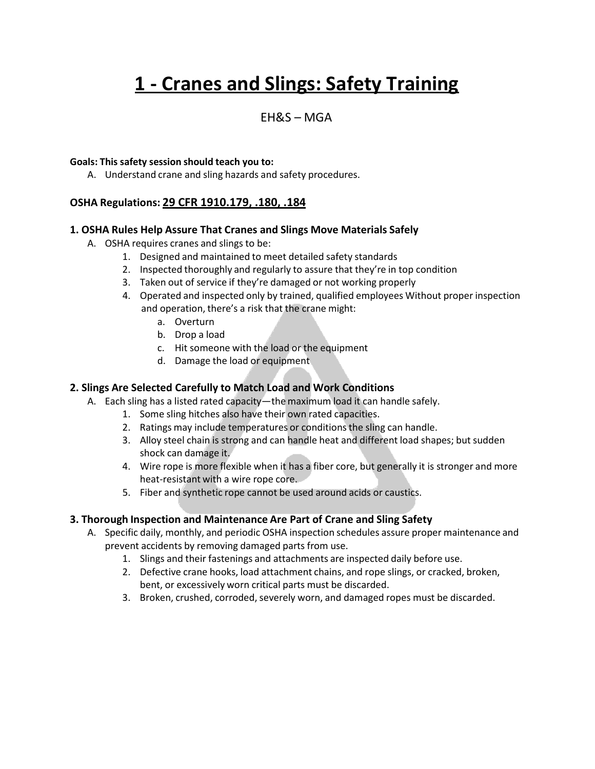# **1 - Cranes and Slings: Safety Training**

### EH&S – MGA

#### **Goals: This safety session should teach you to:**

A. Understand crane and sling hazards and safety procedures.

#### **OSHA Regulations: 29 CFR 1910.179, .180, .184**

#### **1. OSHA Rules Help Assure That Cranes and Slings Move Materials Safely**

- A. OSHA requires cranes and slings to be:
	- 1. Designed and maintained to meet detailed safety standards
	- 2. Inspected thoroughly and regularly to assure that they're in top condition
	- 3. Taken out of service if they're damaged or not working properly
	- 4. Operated and inspected only by trained, qualified employees Without proper inspection and operation, there's a risk that the crane might:
		- a. Overturn
		- b. Drop a load
		- c. Hit someone with the load or the equipment
		- d. Damage the load or equipment

#### **2. Slings Are Selected Carefully to Match Load and Work Conditions**

- A. Each sling has a listed rated capacity—the maximum load it can handle safely.
	- 1. Some sling hitches also have their own rated capacities.
	- 2. Ratings may include temperatures or conditionsthe sling can handle.
	- 3. Alloy steel chain is strong and can handle heat and different load shapes; but sudden shock can damage it.
	- 4. Wire rope is more flexible when it has a fiber core, but generally it is stronger and more heat-resistant with a wire rope core.
	- 5. Fiber and synthetic rope cannot be used around acids or caustics.

#### **3. Thorough Inspection and Maintenance Are Part of Crane and Sling Safety**

- A. Specific daily, monthly, and periodic OSHA inspection schedules assure proper maintenance and prevent accidents by removing damaged parts from use.
	- 1. Slings and their fastenings and attachments are inspected daily before use.
	- 2. Defective crane hooks, load attachment chains, and rope slings, or cracked, broken, bent, or excessively worn critical parts must be discarded.
	- 3. Broken, crushed, corroded, severely worn, and damaged ropes must be discarded.